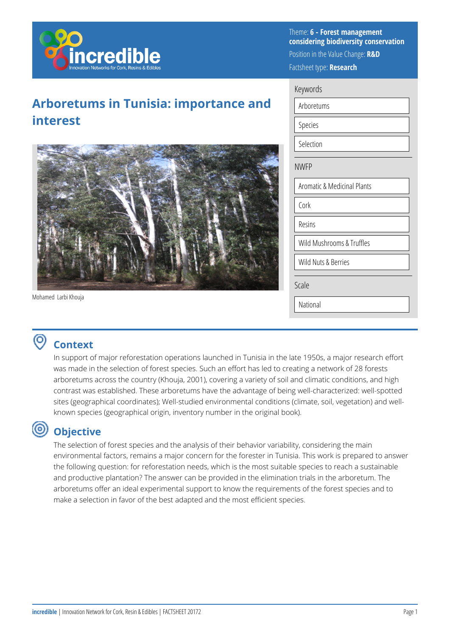

# **Arboretums in Tunisia: importance and interest**



Mohamed Larbi Khouja

Theme: **6 - Forest management considering biodiversity conservation**  Position in the Value Change: **R&D**  Factsheet type: **Research** 

| eywords        |  |
|----------------|--|
| Arboretums     |  |
| <b>Species</b> |  |

Selection

Key

#### NWFP

Aromatic & Medicinal Plants Cork Resins Wild Mushrooms & Truffles Wild Nuts & Berries Scale

National

### **Context**

In support of major reforestation operations launched in Tunisia in the late 1950s, a major research effort was made in the selection of forest species. Such an effort has led to creating a network of 28 forests arboretums across the country (Khouja, 2001), covering a variety of soil and climatic conditions, and high contrast was established. These arboretums have the advantage of being well-characterized: well-spotted sites (geographical coordinates); Well-studied environmental conditions (climate, soil, vegetation) and wellknown species (geographical origin, inventory number in the original book).

#### ⊚ **Objective**

The selection of forest species and the analysis of their behavior variability, considering the main environmental factors, remains a major concern for the forester in Tunisia. This work is prepared to answer the following question: for reforestation needs, which is the most suitable species to reach a sustainable and productive plantation? The answer can be provided in the elimination trials in the arboretum. The arboretums offer an ideal experimental support to know the requirements of the forest species and to make a selection in favor of the best adapted and the most efficient species.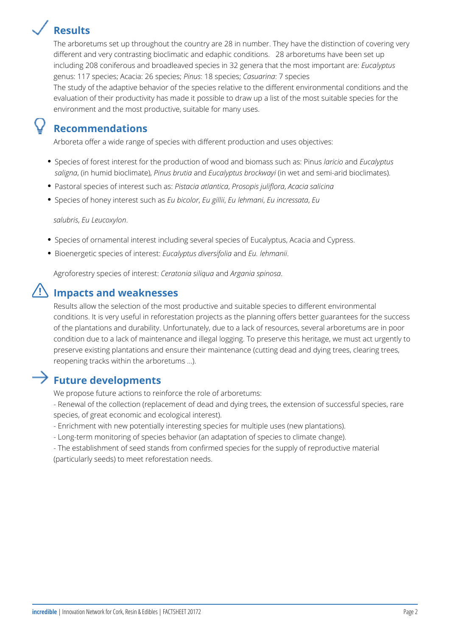# **Results**

The arboretums set up throughout the country are 28 in number. They have the distinction of covering very different and very contrasting bioclimatic and edaphic conditions. 28 arboretums have been set up including 208 coniferous and broadleaved species in 32 genera that the most important are: *Eucalyptus* genus: 117 species; Acacia: 26 species; *Pinus*: 18 species; *Casuarina*: 7 species

The study of the adaptive behavior of the species relative to the different environmental conditions and the evaluation of their productivity has made it possible to draw up a list of the most suitable species for the environment and the most productive, suitable for many uses.

#### **Recommendations**

Arboreta offer a wide range of species with different production and uses objectives:

- Species of forest interest for the production of wood and biomass such as: Pinus *laricio* and *Eucalyptus saligna*, (in humid bioclimate), *Pinus brutia* and *Eucalyptus brockwayi* (in wet and semi-arid bioclimates).
- Pastoral species of interest such as: *Pistacia atlantica*, *Prosopis juliflora*, *Acacia salicina*
- Species of honey interest such as *Eu bicolor*, *Eu gillii*, *Eu lehmani*, *Eu incressata*, *Eu*

*salubris*, *Eu Leucoxylon*.

- **•** Species of ornamental interest including several species of Eucalyptus, Acacia and Cypress.
- Bioenergetic species of interest: *Eucalyptus diversifolia* and *Eu. lehmanii*.

Agroforestry species of interest: *Ceratonia siliqua* and *Argania spinosa*.

### **Impacts and weaknesses**

Results allow the selection of the most productive and suitable species to different environmental conditions. It is very useful in reforestation projects as the planning offers better guarantees for the success of the plantations and durability. Unfortunately, due to a lack of resources, several arboretums are in poor condition due to a lack of maintenance and illegal logging. To preserve this heritage, we must act urgently to preserve existing plantations and ensure their maintenance (cutting dead and dying trees, clearing trees, reopening tracks within the arboretums ...).

## $\rightarrow$  Future developments

We propose future actions to reinforce the role of arboretums:

- Renewal of the collection (replacement of dead and dying trees, the extension of successful species, rare species, of great economic and ecological interest).
- Enrichment with new potentially interesting species for multiple uses (new plantations).
- Long-term monitoring of species behavior (an adaptation of species to climate change).
- The establishment of seed stands from confirmed species for the supply of reproductive material (particularly seeds) to meet reforestation needs.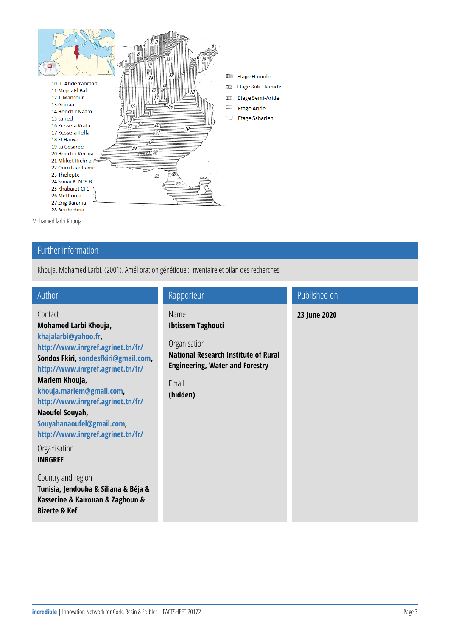Mohamed larbi Khouja

#### Further information

Khouja, Mohamed Larbi. (2001). Amélioration génétique : Inventaire e

| Author                                                                                                                      | Rapporteur                                                | Published on |
|-----------------------------------------------------------------------------------------------------------------------------|-----------------------------------------------------------|--------------|
| Contact<br>Mohamed Larbi Khou                                                                                               | Name<br>Ibtissem Taghouti                                 | 23 June 2020 |
| khajalarbi@yahoo.fr<br>http://www.inrgref.a<br>Sondossohide, sfkiri@,<br>http://www.inrgref.a                               | Organisation<br>National Research I<br>Engineering, Water |              |
| Mariem Khouja,<br>khouja.mariem@gma<br>http://www.inrgref.a<br>Naoufel Souyah,<br>Souyahanaoufel@gm<br>http://www.inrgref.a | Email<br>(hidden)                                         |              |
| Organisation<br><b>INRGREF</b>                                                                                              |                                                           |              |
| Country and regior<br>Tunisia, Jendouba &<br>Kasserine & Kairoua<br>Bizerte & Kef                                           |                                                           |              |